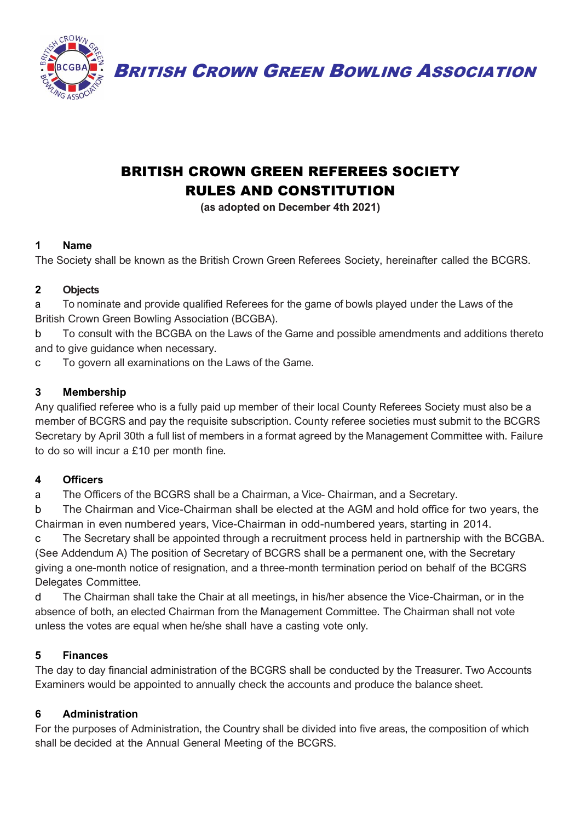

BRITISH CROWN GREEN BOWLING ASSOCIATION

# BRITISH CROWN GREEN REFEREES SOCIETY RULES AND CONSTITUTION

**(as adopted on December 4th 2021)**

## **1 Name**

The Society shall be known as the British Crown Green Referees Society, hereinafter called the BCGRS.

## **2 Objects**

a To nominate and provide qualified Referees for the game of bowls played under the Laws of the British Crown Green Bowling Association (BCGBA).

b To consult with the BCGBA on the Laws of the Game and possible amendments and additions thereto and to give guidance when necessary.

c To govern all examinations on the Laws of the Game.

## **3 Membership**

Any qualified referee who is a fully paid up member of their local County Referees Society must also be a member of BCGRS and pay the requisite subscription. County referee societies must submit to the BCGRS Secretary by April 30th a full list of members in a format agreed by the Management Committee with. Failure to do so will incur a £10 per month fine.

## **4 Officers**

a The Officers of the BCGRS shall be a Chairman, a Vice- Chairman, and a Secretary.

b The Chairman and Vice-Chairman shall be elected at the AGM and hold office for two years, the Chairman in even numbered years, Vice-Chairman in odd-numbered years, starting in 2014.

c The Secretary shall be appointed through a recruitment process held in partnership with the BCGBA. (See Addendum A) The position of Secretary of BCGRS shall be a permanent one, with the Secretary giving a one-month notice of resignation, and a three-month termination period on behalf of the BCGRS Delegates Committee.

d The Chairman shall take the Chair at all meetings, in his/her absence the Vice-Chairman, or in the absence of both, an elected Chairman from the Management Committee. The Chairman shall not vote unless the votes are equal when he/she shall have a casting vote only.

# **5 Finances**

The day to day financial administration of the BCGRS shall be conducted by the Treasurer. Two Accounts Examiners would be appointed to annually check the accounts and produce the balance sheet.

# **6 Administration**

For the purposes of Administration, the Country shall be divided into five areas, the composition of which shall be decided at the Annual General Meeting of the BCGRS.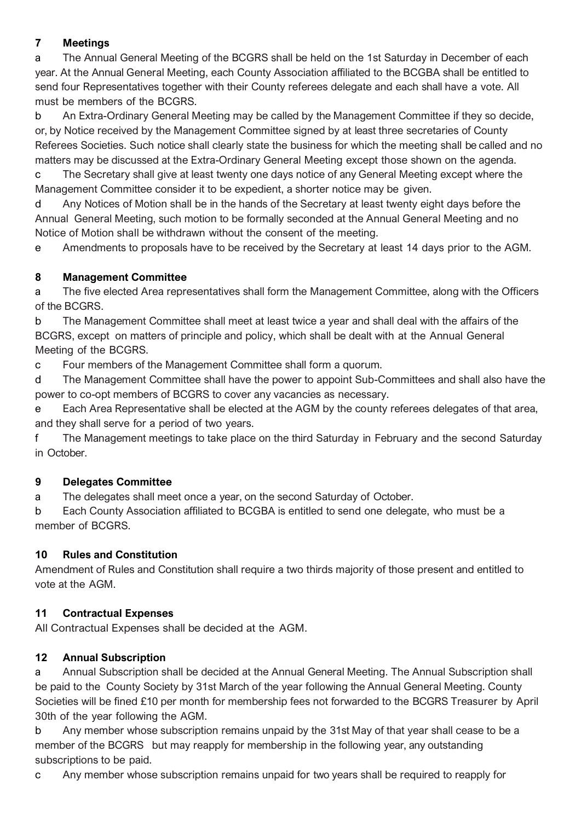## **7 Meetings**

a The Annual General Meeting of the BCGRS shall be held on the 1st Saturday in December of each year. At the Annual General Meeting, each County Association affiliated to the BCGBA shall be entitled to send four Representatives together with their County referees delegate and each shall have a vote. All must be members of the BCGRS.

b An Extra-Ordinary General Meeting may be called by the Management Committee if they so decide, or, by Notice received by the Management Committee signed by at least three secretaries of County Referees Societies. Such notice shall clearly state the business for which the meeting shall be called and no matters may be discussed at the Extra-Ordinary General Meeting except those shown on the agenda.

c The Secretary shall give at least twenty one days notice of any General Meeting except where the Management Committee consider it to be expedient, a shorter notice may be given.

d Any Notices of Motion shall be in the hands of the Secretary at least twenty eight days before the Annual General Meeting, such motion to be formally seconded at the Annual General Meeting and no Notice of Motion shall be withdrawn without the consent of the meeting.

e Amendments to proposals have to be received by the Secretary at least 14 days prior to the AGM.

## **8 Management Committee**

a The five elected Area representatives shall form the Management Committee, along with the Officers of the BCGRS.

b The Management Committee shall meet at least twice a year and shall deal with the affairs of the BCGRS, except on matters of principle and policy, which shall be dealt with at the Annual General Meeting of the BCGRS.

c Four members of the Management Committee shall form a quorum.

d The Management Committee shall have the power to appoint Sub-Committees and shall also have the power to co-opt members of BCGRS to cover any vacancies as necessary.

e Each Area Representative shall be elected at the AGM by the county referees delegates of that area, and they shall serve for a period of two years.

f The Management meetings to take place on the third Saturday in February and the second Saturday in October.

## **9 Delegates Committee**

a The delegates shall meet once a year, on the second Saturday of October.

b Each County Association affiliated to BCGBA is entitled to send one delegate, who must be a member of BCGRS.

# **10 Rules and Constitution**

Amendment of Rules and Constitution shall require a two thirds majority of those present and entitled to vote at the AGM.

## **11 Contractual Expenses**

All Contractual Expenses shall be decided at the AGM.

# **12 Annual Subscription**

a Annual Subscription shall be decided at the Annual General Meeting. The Annual Subscription shall be paid to the County Society by 31st March of the year following the Annual General Meeting. County Societies will be fined £10 per month for membership fees not forwarded to the BCGRS Treasurer by April 30th of the year following the AGM.

b Any member whose subscription remains unpaid by the 31st May of that year shall cease to be a member of the BCGRS but may reapply for membership in the following year, any outstanding subscriptions to be paid.

c Any member whose subscription remains unpaid for two years shall be required to reapply for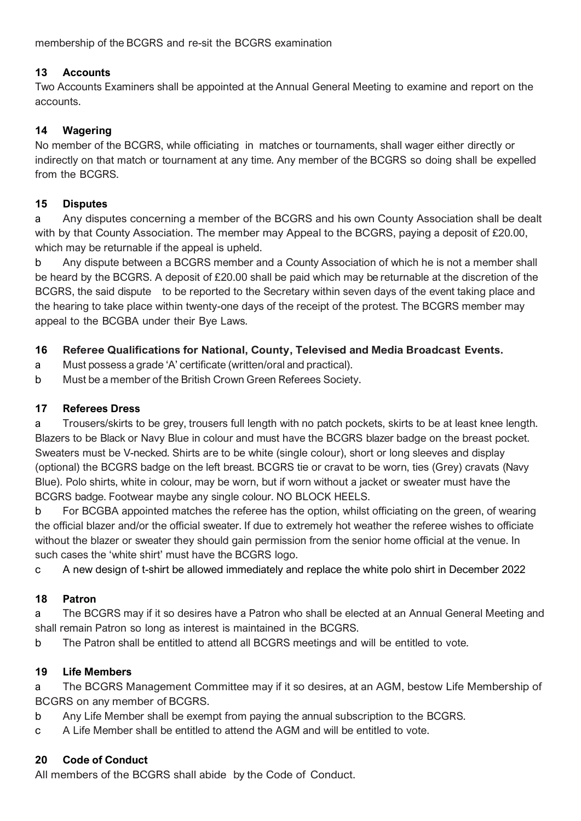membership of the BCGRS and re-sit the BCGRS examination

#### **13 Accounts**

Two Accounts Examiners shall be appointed at the Annual General Meeting to examine and report on the accounts.

## **14 Wagering**

No member of the BCGRS, while officiating in matches or tournaments, shall wager either directly or indirectly on that match or tournament at any time. Any member of the BCGRS so doing shall be expelled from the BCGRS.

#### **15 Disputes**

a Any disputes concerning a member of the BCGRS and his own County Association shall be dealt with by that County Association. The member may Appeal to the BCGRS, paying a deposit of £20.00, which may be returnable if the appeal is upheld.

b Any dispute between a BCGRS member and a County Association of which he is not a member shall be heard by the BCGRS. A deposit of £20.00 shall be paid which may be returnable at the discretion of the BCGRS, the said dispute to be reported to the Secretary within seven days of the event taking place and the hearing to take place within twenty-one days of the receipt of the protest. The BCGRS member may appeal to the BCGBA under their Bye Laws.

## **16 Referee Qualifications for National, County, Televised and Media Broadcast Events.**

- a Must possess a grade 'A' certificate (written/oral and practical).
- b Must be a member of the British Crown Green Referees Society.

#### **17 Referees Dress**

a Trousers/skirts to be grey, trousers full length with no patch pockets, skirts to be at least knee length. Blazers to be Black or Navy Blue in colour and must have the BCGRS blazer badge on the breast pocket. Sweaters must be V-necked. Shirts are to be white (single colour), short or long sleeves and display (optional) the BCGRS badge on the left breast. BCGRS tie or cravat to be worn, ties (Grey) cravats (Navy Blue). Polo shirts, white in colour, may be worn, but if worn without a jacket or sweater must have the BCGRS badge. Footwear maybe any single colour. NO BLOCK HEELS.

b For BCGBA appointed matches the referee has the option, whilst officiating on the green, of wearing the official blazer and/or the official sweater. If due to extremely hot weather the referee wishes to officiate without the blazer or sweater they should gain permission from the senior home official at the venue. In such cases the 'white shirt' must have the BCGRS logo.

c A new design of t-shirt be allowed immediately and replace the white polo shirt in December 2022

#### **18 Patron**

a The BCGRS may if it so desires have a Patron who shall be elected at an Annual General Meeting and shall remain Patron so long as interest is maintained in the BCGRS.

b The Patron shall be entitled to attend all BCGRS meetings and will be entitled to vote.

#### **19 Life Members**

a The BCGRS Management Committee may if it so desires, at an AGM, bestow Life Membership of BCGRS on any member of BCGRS.

- b Any Life Member shall be exempt from paying the annual subscription to the BCGRS.
- c A Life Member shall be entitled to attend the AGM and will be entitled to vote.

## **20 Code of Conduct**

All members of the BCGRS shall abide by the Code of Conduct.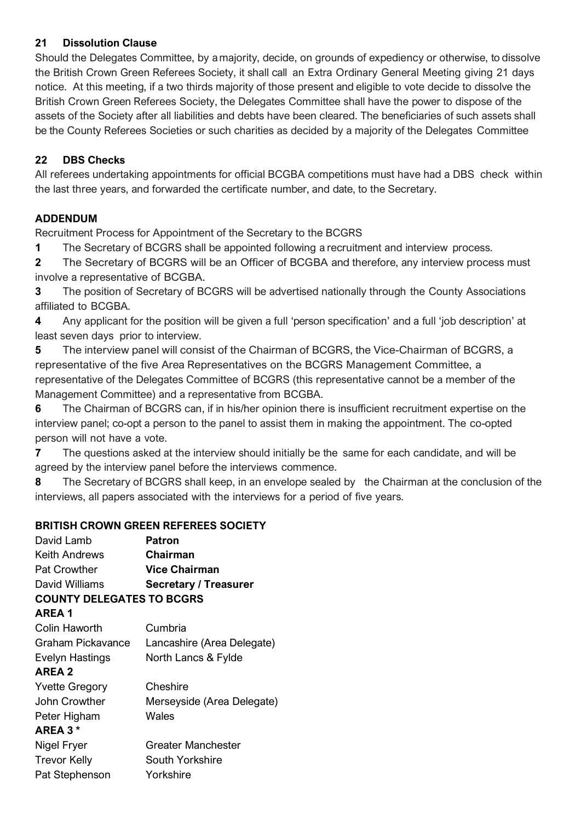## **21 Dissolution Clause**

Should the Delegates Committee, by a majority, decide, on grounds of expediency or otherwise, to dissolve the British Crown Green Referees Society, it shall call an Extra Ordinary General Meeting giving 21 days notice. At this meeting, if a two thirds majority of those present and eligible to vote decide to dissolve the British Crown Green Referees Society, the Delegates Committee shall have the power to dispose of the assets of the Society after all liabilities and debts have been cleared. The beneficiaries of such assets shall be the County Referees Societies or such charities as decided by a majority of the Delegates Committee

## **22 DBS Checks**

All referees undertaking appointments for official BCGBA competitions must have had a DBS check within the last three years, and forwarded the certificate number, and date, to the Secretary.

# **ADDENDUM**

Recruitment Process for Appointment of the Secretary to the BCGRS

**1** The Secretary of BCGRS shall be appointed following a recruitment and interview process.

**2** The Secretary of BCGRS will be an Officer of BCGBA and therefore, any interview process must involve a representative of BCGBA.

**3** The position of Secretary of BCGRS will be advertised nationally through the County Associations affiliated to BCGBA.

**4** Any applicant for the position will be given a full 'person specification' and a full 'job description' at least seven days prior to interview.

**5** The interview panel will consist of the Chairman of BCGRS, the Vice-Chairman of BCGRS, a representative of the five Area Representatives on the BCGRS Management Committee, a representative of the Delegates Committee of BCGRS (this representative cannot be a member of the Management Committee) and a representative from BCGBA.

**6** The Chairman of BCGRS can, if in his/her opinion there is insufficient recruitment expertise on the interview panel; co-opt a person to the panel to assist them in making the appointment. The co-opted person will not have a vote.

**7** The questions asked at the interview should initially be the same for each candidate, and will be agreed by the interview panel before the interviews commence.

**8** The Secretary of BCGRS shall keep, in an envelope sealed by the Chairman at the conclusion of the interviews, all papers associated with the interviews for a period of five years.

## **BRITISH CROWN GREEN REFEREES SOCIETY**

| David Lamb                       | Patron                       |
|----------------------------------|------------------------------|
| Keith Andrews                    | Chairman                     |
| <b>Pat Crowther</b>              | <b>Vice Chairman</b>         |
| David Williams                   | <b>Secretary / Treasurer</b> |
| <b>COUNTY DELEGATES TO BCGRS</b> |                              |
| AREA 1                           |                              |
| <b>Colin Haworth</b>             | Cumbria                      |
| Graham Pickavance                | Lancashire (Area Delegate)   |
| Evelyn Hastings                  | North Lancs & Fylde          |
| <b>AREA 2</b>                    |                              |
| <b>Yvette Gregory</b>            | Cheshire                     |
| John Crowther                    | Merseyside (Area Delegate)   |
| Peter Higham                     | Wales                        |
| AREA 3*                          |                              |
| Nigel Fryer                      | Greater Manchester           |
| <b>Trevor Kelly</b>              | South Yorkshire              |
| Pat Stephenson                   | Yorkshire                    |
|                                  |                              |